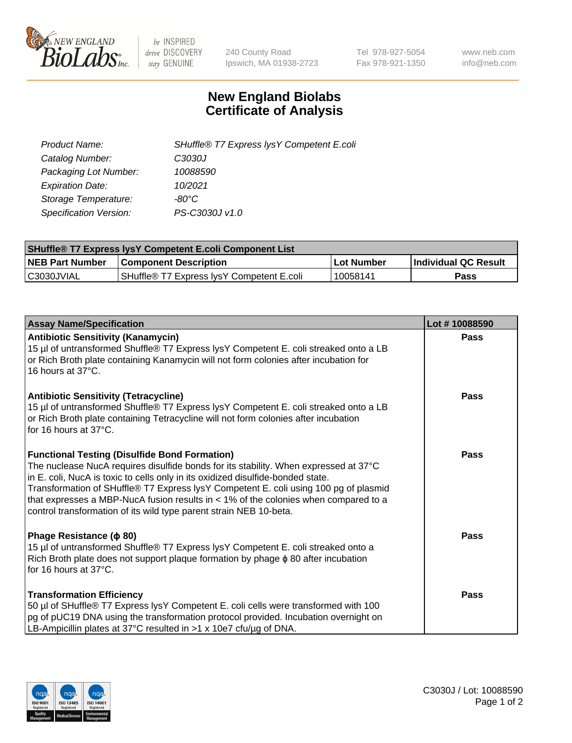

 $be$  INSPIRED drive DISCOVERY stay GENUINE

240 County Road Ipswich, MA 01938-2723 Tel 978-927-5054 Fax 978-921-1350 www.neb.com info@neb.com

## **New England Biolabs Certificate of Analysis**

| SHuffle® T7 Express lysY Competent E.coli |
|-------------------------------------------|
| C3030J                                    |
| 10088590                                  |
| 10/2021                                   |
| -80°C                                     |
| PS-C3030J v1.0                            |
|                                           |

| <b>SHuffle® T7 Express lysY Competent E.coli Component List</b> |                                           |                   |                             |  |
|-----------------------------------------------------------------|-------------------------------------------|-------------------|-----------------------------|--|
| <b>NEB Part Number</b>                                          | <b>Component Description</b>              | <b>Lot Number</b> | <b>Individual QC Result</b> |  |
| C3030JVIAL                                                      | SHuffle® T7 Express IysY Competent E.coli | 10058141          | Pass                        |  |

| <b>Assay Name/Specification</b>                                                                                                                                                                                                                                                                                                                                                                                                                                                        | Lot #10088590 |
|----------------------------------------------------------------------------------------------------------------------------------------------------------------------------------------------------------------------------------------------------------------------------------------------------------------------------------------------------------------------------------------------------------------------------------------------------------------------------------------|---------------|
| <b>Antibiotic Sensitivity (Kanamycin)</b><br>15 µl of untransformed Shuffle® T7 Express lysY Competent E. coli streaked onto a LB<br>or Rich Broth plate containing Kanamycin will not form colonies after incubation for<br>16 hours at 37°C.                                                                                                                                                                                                                                         | Pass          |
| <b>Antibiotic Sensitivity (Tetracycline)</b><br>15 µl of untransformed Shuffle® T7 Express lysY Competent E. coli streaked onto a LB<br>or Rich Broth plate containing Tetracycline will not form colonies after incubation<br>for 16 hours at 37°C.                                                                                                                                                                                                                                   | Pass          |
| <b>Functional Testing (Disulfide Bond Formation)</b><br>The nuclease NucA requires disulfide bonds for its stability. When expressed at 37°C<br>in E. coli, NucA is toxic to cells only in its oxidized disulfide-bonded state.<br>Transformation of SHuffle® T7 Express lysY Competent E. coli using 100 pg of plasmid<br>that expresses a MBP-NucA fusion results in $<$ 1% of the colonies when compared to a<br>control transformation of its wild type parent strain NEB 10-beta. | Pass          |
| Phage Resistance ( $\phi$ 80)<br>15 µl of untransformed Shuffle® T7 Express lysY Competent E. coli streaked onto a<br>Rich Broth plate does not support plaque formation by phage $\phi$ 80 after incubation<br>for 16 hours at $37^{\circ}$ C.                                                                                                                                                                                                                                        | Pass          |
| <b>Transformation Efficiency</b><br>50 µl of SHuffle® T7 Express lysY Competent E. coli cells were transformed with 100<br>pg of pUC19 DNA using the transformation protocol provided. Incubation overnight on<br>LB-Ampicillin plates at 37°C resulted in $>1 \times 10e7$ cfu/ug of DNA.                                                                                                                                                                                             | Pass          |